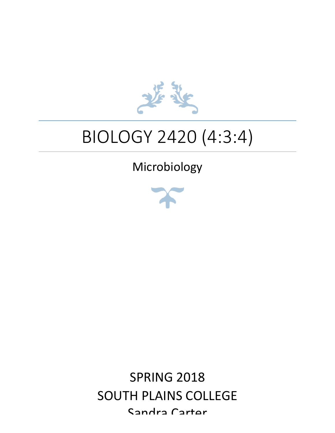

# BIOLOGY 2420 (4:3:4)

# Microbiology



**SPRING 2018** SOUTH PLAINS COLLEGE Sandra Cartor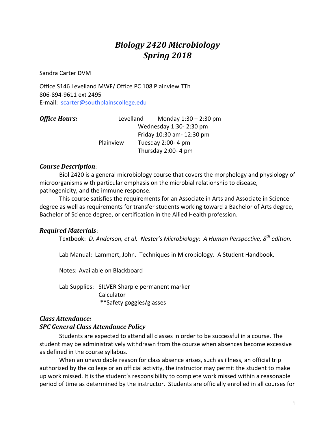### *Biology 2420 Microbiology Spring 2018*

Sandra Carter DVM

Office S146 Levelland MWF/ Office PC 108 Plainview TTh 806-894-9611 ext 2495 E-mail: scarter@southplainscollege.edu 

| <b>Office Hours:</b> |           | Levelland | Monday $1:30 - 2:30$ pm   |
|----------------------|-----------|-----------|---------------------------|
|                      |           |           | Wednesday 1:30-2:30 pm    |
|                      |           |           | Friday 10:30 am- 12:30 pm |
|                      | Plainview |           | Tuesday 2:00-4 pm         |
|                      |           |           | Thursday 2:00-4 pm        |

#### *Course Description*:

Biol 2420 is a general microbiology course that covers the morphology and physiology of microorganisms with particular emphasis on the microbial relationship to disease, pathogenicity, and the immune response.

This course satisfies the requirements for an Associate in Arts and Associate in Science degree as well as requirements for transfer students working toward a Bachelor of Arts degree, Bachelor of Science degree, or certification in the Allied Health profession.

#### *Required Materials*:

Textbook: *D. Anderson, et al. Nester's Microbiology: A Human Perspective, 8<sup>th</sup> edition.* 

Lab Manual: Lammert, John. Techniques in Microbiology. A Student Handbook.

Notes: Available on Blackboard

Lab Supplies: SILVER Sharpie permanent marker Calculator \*\*Safety goggles/glasses

#### *Class Attendance: SPC General Class Attendance Policy*

Students are expected to attend all classes in order to be successful in a course. The student may be administratively withdrawn from the course when absences become excessive as defined in the course syllabus.

When an unavoidable reason for class absence arises, such as illness, an official trip authorized by the college or an official activity, the instructor may permit the student to make up work missed. It is the student's responsibility to complete work missed within a reasonable period of time as determined by the instructor. Students are officially enrolled in all courses for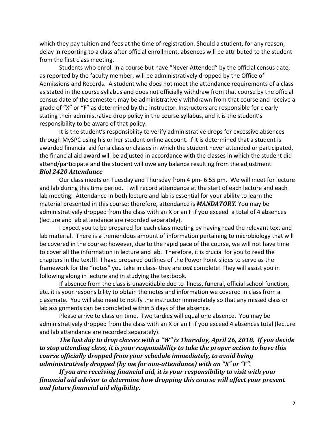which they pay tuition and fees at the time of registration. Should a student, for any reason, delay in reporting to a class after official enrollment, absences will be attributed to the student from the first class meeting.

Students who enroll in a course but have "Never Attended" by the official census date, as reported by the faculty member, will be administratively dropped by the Office of Admissions and Records. A student who does not meet the attendance requirements of a class as stated in the course syllabus and does not officially withdraw from that course by the official census date of the semester, may be administratively withdrawn from that course and receive a grade of "X" or "F" as determined by the instructor. Instructors are responsible for clearly stating their administrative drop policy in the course syllabus, and it is the student's responsibility to be aware of that policy.

It is the student's responsibility to verify administrative drops for excessive absences through MySPC using his or her student online account. If it is determined that a student is awarded financial aid for a class or classes in which the student never attended or participated, the financial aid award will be adjusted in accordance with the classes in which the student did attend/participate and the student will owe any balance resulting from the adjustment. *Biol 2420 Attendance*

Our class meets on Tuesday and Thursday from 4 pm- 6:55 pm. We will meet for lecture and lab during this time period. I will record attendance at the start of each lecture and each lab meeting. Attendance in both lecture and lab is essential for your ability to learn the material presented in this course; therefore, attendance is **MANDATORY**. You may be administratively dropped from the class with an X or an F if you exceed a total of 4 absences (lecture and lab attendance are recorded separately).

I expect you to be prepared for each class meeting by having read the relevant text and lab material. There is a tremendous amount of information pertaining to microbiology that will be covered in the course; however, due to the rapid pace of the course, we will not have time to cover all the information in lecture and lab. Therefore, it is crucial for you to read the chapters in the text!!! I have prepared outlines of the Power Point slides to serve as the framework for the "notes" you take in class- they are **not** complete! They will assist you in following along in lecture and in studying the textbook.

If absence from the class is unavoidable due to illness, funeral, official school function, etc. it is your responsibility to obtain the notes and information we covered in class from a classmate. You will also need to notify the instructor immediately so that any missed class or lab assignments can be completed within 5 days of the absence.

Please arrive to class on time. Two tardies will equal one absence. You may be administratively dropped from the class with an X or an F if you exceed 4 absences total (lecture and lab attendance are recorded separately).

*The last day to drop classes with a "W" is Thursday, April 26, 2018. If you decide to* stop attending class, it is your responsibility to take the proper action to have this *course officially dropped from your schedule immediately, to avoid being administratively dropped (by me for non-attendance)* with an "X" or "F".

*If* you are receiving financial aid, it is your responsibility to visit with your *financial aid advisor to determine how dropping this course will affect your present and future financial aid eligibility.*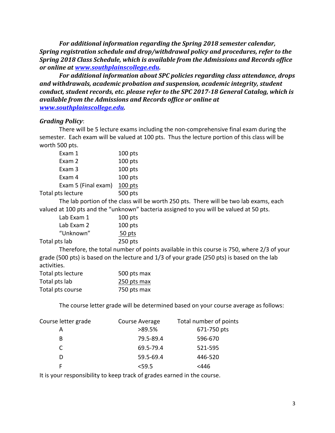For additional information regarding the Spring 2018 semester calendar, *Spring registration schedule and drop/withdrawal policy and procedures, refer to the* **Spring 2018 Class Schedule, which is available from the Admissions and Records office** *or online at www.southplainscollege.edu.* 

For additional information about SPC policies regarding class attendance, drops and withdrawals, academic probation and suspension, academic integrity, student *conduct, student records, etc. please refer to the SPC 2017-18 General Catalog, which is* available from the Admissions and Records office or online at *www.southplainscollege.edu.* 

#### *Grading Policy*:

There will be 5 lecture exams including the non-comprehensive final exam during the semester. Each exam will be valued at 100 pts. Thus the lecture portion of this class will be worth 500 pts.

| Exam 1              | $100$ pts |
|---------------------|-----------|
| Exam 2              | 100 pts   |
| Exam 3              | 100 pts   |
| Exam 4              | 100 pts   |
| Exam 5 (Final exam) | $100$ pts |
| Total pts lecture   | 500 pts   |

The lab portion of the class will be worth 250 pts. There will be two lab exams, each valued at 100 pts and the "unknown" bacteria assigned to you will be valued at 50 pts.

| Lab Exam 1    | $100$ pts |
|---------------|-----------|
| Lab Exam 2    | $100$ pts |
| "Unknown"     | 50 pts    |
| Total pts lab | $250$ pts |

Therefore, the total number of points available in this course is 750, where 2/3 of your grade  $(500 \text{ pts})$  is based on the lecture and  $1/3$  of your grade  $(250 \text{ pts})$  is based on the lab activities.

| Total pts lecture | 500 pts max |
|-------------------|-------------|
| Total pts lab     | 250 pts max |
| Total pts course  | 750 pts max |

The course letter grade will be determined based on your course average as follows:

| Course letter grade | Course Average | Total number of points |
|---------------------|----------------|------------------------|
|                     | >89.5%         | 671-750 pts            |
| B                   | 79.5-89.4      | 596-670                |
| C.                  | 69.5-79.4      | 521-595                |
|                     | 59.5-69.4      | 446-520                |
|                     | < 59.5         | $<$ 446                |

It is your responsibility to keep track of grades earned in the course.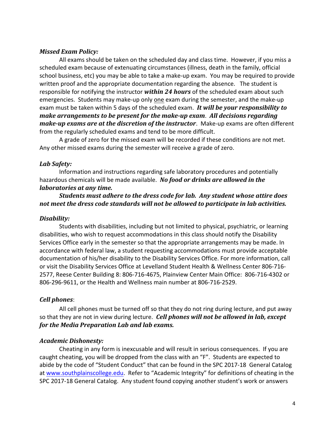#### *Missed Exam Policy:*

All exams should be taken on the scheduled day and class time. However, if you miss a scheduled exam because of extenuating circumstances (illness, death in the family, official school business, etc) you may be able to take a make-up exam. You may be required to provide written proof and the appropriate documentation regarding the absence. The student is responsible for notifying the instructor *within* 24 hours of the scheduled exam about such emergencies. Students may make-up only one exam during the semester, and the make-up exam must be taken within 5 days of the scheduled exam. It will be your responsibility to *make arrangements to be present for the make-up exam. All decisions regarding make-up exams are at the discretion of the instructor.* Make-up exams are often different from the regularly scheduled exams and tend to be more difficult.

A grade of zero for the missed exam will be recorded if these conditions are not met. Any other missed exams during the semester will receive a grade of zero.

#### *Lab Safety:*

Information and instructions regarding safe laboratory procedures and potentially hazardous chemicals will be made available. No food or drinks are allowed in the *laboratories at any time.* 

#### **Students must adhere to the dress code for lab. Any student whose attire does** not meet the dress code standards will not be allowed to participate in lab activities.

#### *Disability:*

Students with disabilities, including but not limited to physical, psychiatric, or learning disabilities, who wish to request accommodations in this class should notify the Disability Services Office early in the semester so that the appropriate arrangements may be made. In accordance with federal law, a student requesting accommodations must provide acceptable documentation of his/her disability to the Disability Services Office. For more information, call or visit the Disability Services Office at Levelland Student Health & Wellness Center 806-716-2577, Reese Center Building 8: 806-716-4675, Plainview Center Main Office: 806-716-4302 or 806-296-9611, or the Health and Wellness main number at 806-716-2529.

#### *Cell phones*:

All cell phones must be turned off so that they do not ring during lecture, and put away so that they are not in view during lecture. *Cell phones will not be allowed in lab, except for the Media Preparation Lab and lab exams.* 

#### *Academic Dishonesty:*

Cheating in any form is inexcusable and will result in serious consequences. If you are caught cheating, you will be dropped from the class with an "F". Students are expected to abide by the code of "Student Conduct" that can be found in the SPC 2017-18 General Catalog at www.southplainscollege.edu. Refer to "Academic Integrity" for definitions of cheating in the SPC 2017-18 General Catalog. Any student found copying another student's work or answers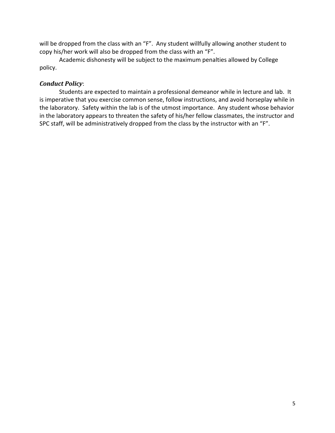will be dropped from the class with an "F". Any student willfully allowing another student to copy his/her work will also be dropped from the class with an "F".

Academic dishonesty will be subject to the maximum penalties allowed by College policy.

#### *Conduct Policy*:

Students are expected to maintain a professional demeanor while in lecture and lab. It is imperative that you exercise common sense, follow instructions, and avoid horseplay while in the laboratory. Safety within the lab is of the utmost importance. Any student whose behavior in the laboratory appears to threaten the safety of his/her fellow classmates, the instructor and SPC staff, will be administratively dropped from the class by the instructor with an "F".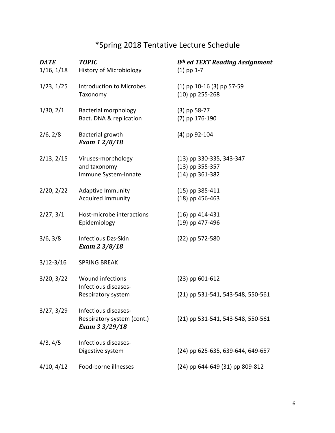## \*Spring 2018 Tentative Lecture Schedule

| <b>DATE</b>   | <b>TOPIC</b>                                 | 8 <sup>th</sup> ed TEXT Reading Assignment |
|---------------|----------------------------------------------|--------------------------------------------|
| 1/16, 1/18    | <b>History of Microbiology</b>               | $(1)$ pp 1-7                               |
| 1/23, 1/25    | Introduction to Microbes                     | $(1)$ pp 10-16 (3) pp 57-59                |
|               | Taxonomy                                     | $(10)$ pp 255-268                          |
| 1/30, 2/1     | <b>Bacterial morphology</b>                  | $(3)$ pp 58-77                             |
|               | Bact. DNA & replication                      | $(7)$ pp 176-190                           |
| 2/6, 2/8      | Bacterial growth<br>Exam 1 2/8/18            | $(4)$ pp 92-104                            |
|               |                                              |                                            |
| 2/13, 2/15    | Viruses-morphology                           | (13) pp 330-335, 343-347                   |
|               | and taxonomy                                 | $(13)$ pp 355-357                          |
|               | Immune System-Innate                         | $(14)$ pp 361-382                          |
| 2/20, 2/22    | Adaptive Immunity                            | $(15)$ pp 385-411                          |
|               | Acquired Immunity                            | $(18)$ pp 456-463                          |
| 2/27, 3/1     | Host-microbe interactions                    | $(16)$ pp 414-431                          |
|               | Epidemiology                                 | (19) pp 477-496                            |
| 3/6, 3/8      | Infectious Dzs-Skin                          | $(22)$ pp 572-580                          |
|               | Exam 2 3/8/18                                |                                            |
| $3/12 - 3/16$ | <b>SPRING BREAK</b>                          |                                            |
| 3/20, 3/22    | Wound infections                             | $(23)$ pp 601-612                          |
|               | Infectious diseases-                         |                                            |
|               | Respiratory system                           | (21) pp 531-541, 543-548, 550-561          |
| 3/27, 3/29    | Infectious diseases-                         |                                            |
|               | Respiratory system (cont.)<br>Exam 3 3/29/18 | (21) pp 531-541, 543-548, 550-561          |
| 4/3, 4/5      | Infectious diseases-                         |                                            |
|               | Digestive system                             | (24) pp 625-635, 639-644, 649-657          |
| 4/10, 4/12    | Food-borne illnesses                         | (24) pp 644-649 (31) pp 809-812            |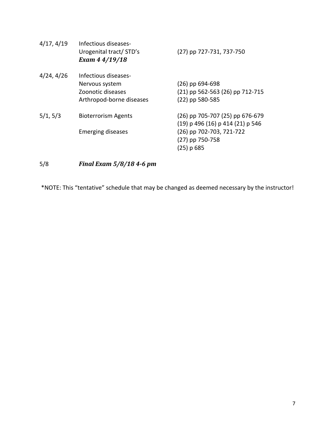| $(26)$ pp 694-698<br>(21) pp 562-563 (26) pp 712-715 |
|------------------------------------------------------|
|                                                      |
|                                                      |
|                                                      |
| Arthropod-borne diseases<br>$(22)$ pp 580-585        |
| (26) pp 705-707 (25) pp 676-679                      |
| $(19)$ p 496 (16) p 414 (21) p 546                   |
| (26) pp 702-703, 721-722                             |
| (27) pp 750-758                                      |
| $(25)$ p 685                                         |
|                                                      |

5/8 *Final Exam 5/8/18 4-6 pm*

\*NOTE: This "tentative" schedule that may be changed as deemed necessary by the instructor!